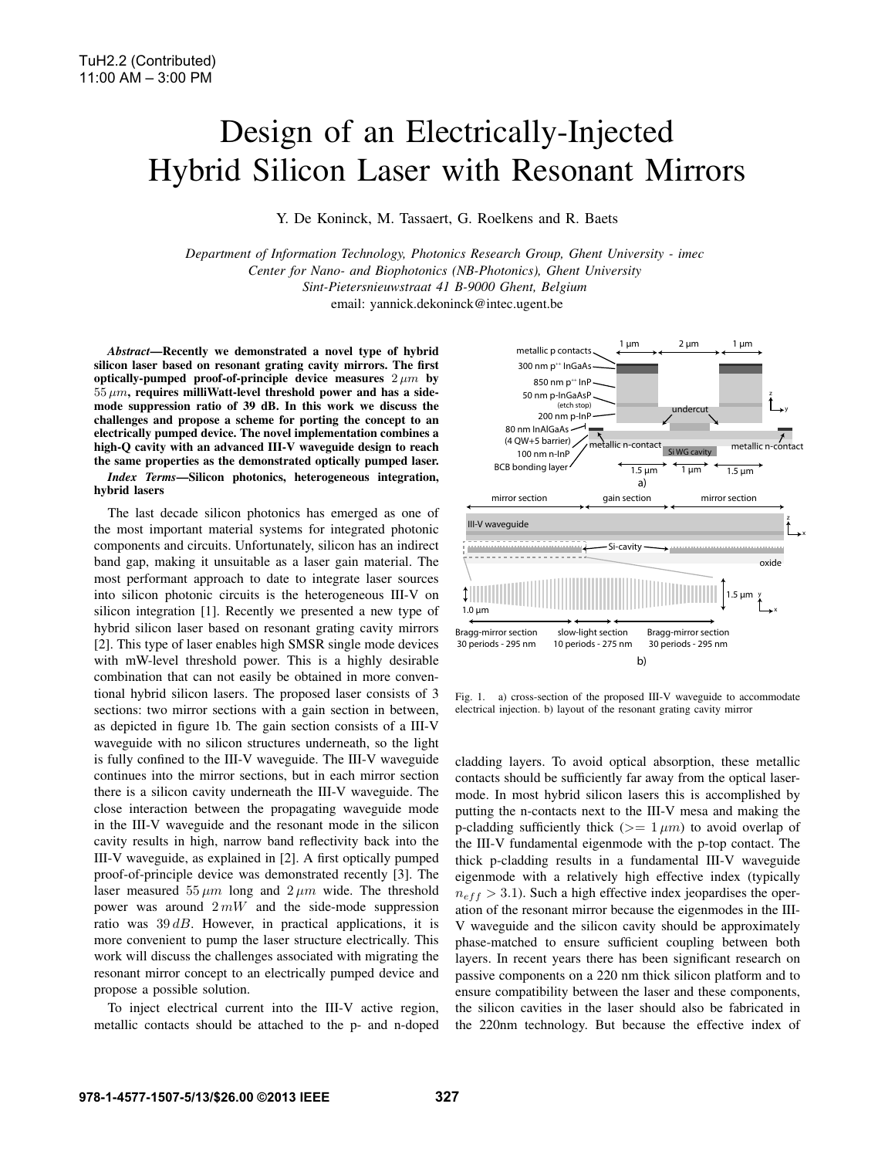## Design of an Electrically-Injected Hybrid Silicon Laser with Resonant Mirrors

Y. De Koninck, M. Tassaert, G. Roelkens and R. Baets

*Department of Information Technology, Photonics Research Group, Ghent University - imec Center for Nano- and Biophotonics (NB-Photonics), Ghent University Sint-Pietersnieuwstraat 41 B-9000 Ghent, Belgium* email: yannick.dekoninck@intec.ugent.be

*Abstract*—Recently we demonstrated a novel type of hybrid silicon laser based on resonant grating cavity mirrors. The first optically-pumped proof-of-principle device measures  $2 \mu m$  by  $55 \, \mu m$ , requires milliWatt-level threshold power and has a sidemode suppression ratio of 39 dB. In this work we discuss the challenges and propose a scheme for porting the concept to an electrically pumped device. The novel implementation combines a high-Q cavity with an advanced III-V waveguide design to reach the same properties as the demonstrated optically pumped laser.

*Index Terms*—Silicon photonics, heterogeneous integration, hybrid lasers

The last decade silicon photonics has emerged as one of the most important material systems for integrated photonic components and circuits. Unfortunately, silicon has an indirect band gap, making it unsuitable as a laser gain material. The most performant approach to date to integrate laser sources into silicon photonic circuits is the heterogeneous III-V on silicon integration [1]. Recently we presented a new type of hybrid silicon laser based on resonant grating cavity mirrors [2]. This type of laser enables high SMSR single mode devices with mW-level threshold power. This is a highly desirable combination that can not easily be obtained in more conventional hybrid silicon lasers. The proposed laser consists of 3 sections: two mirror sections with a gain section in between, as depicted in figure 1b. The gain section consists of a III-V waveguide with no silicon structures underneath, so the light is fully confined to the III-V waveguide. The III-V waveguide continues into the mirror sections, but in each mirror section there is a silicon cavity underneath the III-V waveguide. The close interaction between the propagating waveguide mode in the III-V waveguide and the resonant mode in the silicon cavity results in high, narrow band reflectivity back into the III-V waveguide, as explained in [2]. A first optically pumped proof-of-principle device was demonstrated recently [3]. The laser measured  $55 \mu m$  long and  $2 \mu m$  wide. The threshold power was around  $2mW$  and the side-mode suppression ratio was  $39 dB$ . However, in practical applications, it is more convenient to pump the laser structure electrically. This work will discuss the challenges associated with migrating the resonant mirror concept to an electrically pumped device and propose a possible solution.

To inject electrical current into the III-V active region, metallic contacts should be attached to the p- and n-doped



Fig. 1. a) cross-section of the proposed III-V waveguide to accommodate electrical injection. b) layout of the resonant grating cavity mirror

cladding layers. To avoid optical absorption, these metallic contacts should be sufficiently far away from the optical lasermode. In most hybrid silicon lasers this is accomplished by putting the n-contacts next to the III-V mesa and making the p-cladding sufficiently thick ( $>= 1 \mu m$ ) to avoid overlap of the III-V fundamental eigenmode with the p-top contact. The thick p-cladding results in a fundamental III-V waveguide eigenmode with a relatively high effective index (typically  $n_{eff} > 3.1$ ). Such a high effective index jeopardises the operation of the resonant mirror because the eigenmodes in the III-V waveguide and the silicon cavity should be approximately phase-matched to ensure sufficient coupling between both layers. In recent years there has been significant research on passive components on a 220 nm thick silicon platform and to ensure compatibility between the laser and these components, the silicon cavities in the laser should also be fabricated in the 220nm technology. But because the effective index of